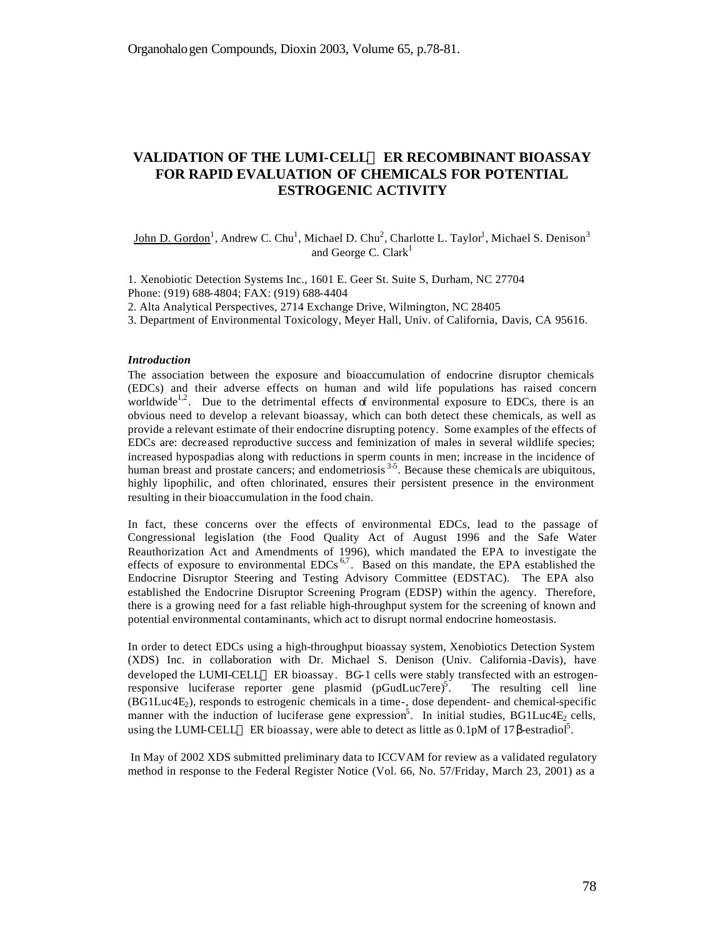# **VALIDATION OF THE LUMI-CELLä ER RECOMBINANT BIOASSAY FOR RAPID EVALUATION OF CHEMICALS FOR POTENTIAL ESTROGENIC ACTIVITY**

 $\text{John D. Gordon}^1$ , Andrew C. Chu<sup>1</sup>, Michael D. Chu<sup>2</sup>, Charlotte L. Taylor<sup>1</sup>, Michael S. Denison<sup>3</sup> and George C. Clark<sup>1</sup>

1. Xenobiotic Detection Systems Inc., 1601 E. Geer St. Suite S, Durham, NC 27704 Phone: (919) 688-4804; FAX: (919) 688-4404

2. Alta Analytical Perspectives, 2714 Exchange Drive, Wilmington, NC 28405

3. Department of Environmental Toxicology, Meyer Hall, Univ. of California, Davis, CA 95616.

#### *Introduction*

The association between the exposure and bioaccumulation of endocrine disruptor chemicals (EDCs) and their adverse effects on human and wild life populations has raised concern worldwide<sup>1,2</sup>. Due to the detrimental effects of environmental exposure to EDCs, there is an obvious need to develop a relevant bioassay, which can both detect these chemicals, as well as provide a relevant estimate of their endocrine disrupting potency. Some examples of the effects of EDCs are: decreased reproductive success and feminization of males in several wildlife species; increased hypospadias along with reductions in sperm counts in men; increase in the incidence of human breast and prostate cancers; and endometriosis<sup>35</sup>. Because these chemicals are ubiquitous, highly lipophilic, and often chlorinated, ensures their persistent presence in the environment resulting in their bioaccumulation in the food chain.

In fact, these concerns over the effects of environmental EDCs, lead to the passage of Congressional legislation (the Food Quality Act of August 1996 and the Safe Water Reauthorization Act and Amendments of 1996), which mandated the EPA to investigate the effects of exposure to environmental  $EDCs^{6,7}$ . Based on this mandate, the EPA established the Endocrine Disruptor Steering and Testing Advisory Committee (EDSTAC). The EPA also established the Endocrine Disruptor Screening Program (EDSP) within the agency. Therefore, there is a growing need for a fast reliable high-throughput system for the screening of known and potential environmental contaminants, which act to disrupt normal endocrine homeostasis.

In order to detect EDCs using a high-throughput bioassay system, Xenobiotics Detection System (XDS) Inc. in collaboration with Dr. Michael S. Denison (Univ. California -Davis), have  $developed the LUMICELLI<sup>M</sup> ER bioassay. BG-1 cells were stably transfected with an estrogen$ responsive luciferase reporter gene plasmid (pGudLuc7ere)<sup>5</sup>. . The resulting cell line  $(BG1Luc4E<sub>2</sub>)$ , responds to estrogenic chemicals in a time-, dose dependent- and chemical-specific manner with the induction of luciferase gene expression<sup>5</sup>. In initial studies, BG1Luc4E<sub>2</sub> cells, using the LUMI-CELL<sup>™</sup> ER bioassay, were able to detect as little as 0.1pM of 17β-estradiol<sup>5</sup>.

 In May of 2002 XDS submitted preliminary data to ICCVAM for review as a validated regulatory method in response to the Federal Register Notice (Vol. 66, No. 57/Friday, March 23, 2001) as a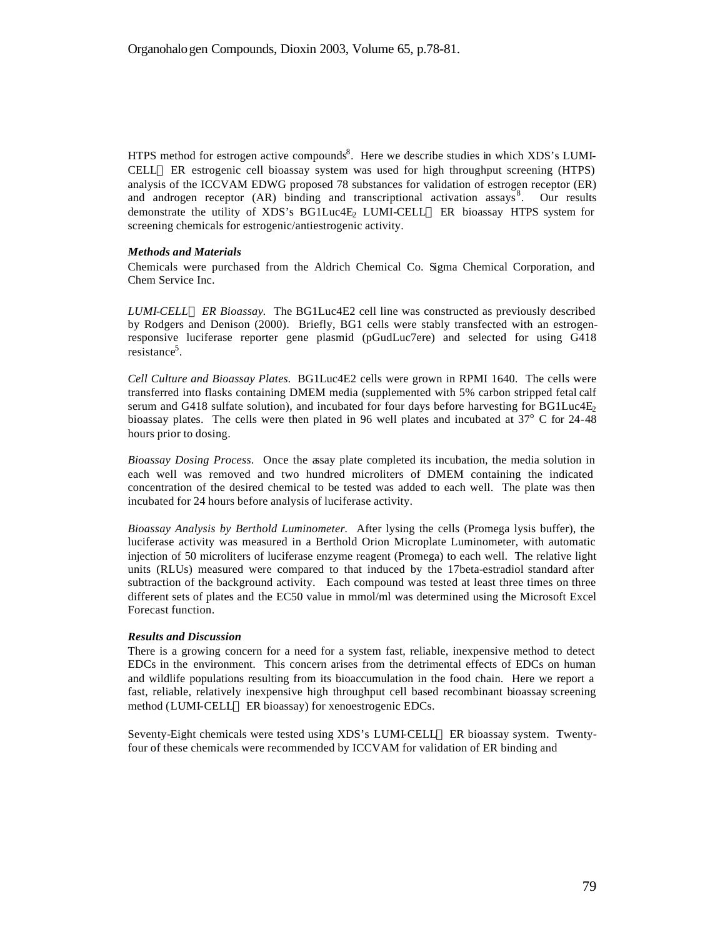HTPS method for estrogen active compounds<sup>8</sup>. Here we describe studies in which XDS's LUMI-CELL<sup>™</sup> ER estrogenic cell bioassay system was used for high throughput screening (HTPS) analysis of the ICCVAM EDWG proposed 78 substances for validation of estrogen receptor (ER) and androgen receptor (AR) binding and transcriptional activation assays<sup>8</sup>. Our results demonstrate the utility of XDS's BG1Luc4E<sub>2</sub> LUMI-CELL<sup>™</sup> ER bioassay HTPS system for screening chemicals for estrogenic/antiestrogenic activity.

# *Methods and Materials*

Chemicals were purchased from the Aldrich Chemical Co. Sigma Chemical Corporation, and Chem Service Inc.

*LUMI-CELLä ER Bioassay.* The BG1Luc4E2 cell line was constructed as previously described by Rodgers and Denison (2000). Briefly, BG1 cells were stably transfected with an estrogenresponsive luciferase reporter gene plasmid (pGudLuc7ere) and selected for using G418 resistance<sup>5</sup>.

*Cell Culture and Bioassay Plates.* BG1Luc4E2 cells were grown in RPMI 1640. The cells were transferred into flasks containing DMEM media (supplemented with 5% carbon stripped fetal calf serum and G418 sulfate solution), and incubated for four days before harvesting for BG1Luc4E<sub>2</sub> bioassay plates. The cells were then plated in 96 well plates and incubated at  $37^{\circ}$  C for 24-48 hours prior to dosing.

*Bioassay Dosing Process*. Once the assay plate completed its incubation, the media solution in each well was removed and two hundred microliters of DMEM containing the indicated concentration of the desired chemical to be tested was added to each well. The plate was then incubated for 24 hours before analysis of luciferase activity.

*Bioassay Analysis by Berthold Luminometer.* After lysing the cells (Promega lysis buffer), the luciferase activity was measured in a Berthold Orion Microplate Luminometer, with automatic injection of 50 microliters of luciferase enzyme reagent (Promega) to each well. The relative light units (RLUs) measured were compared to that induced by the 17beta-estradiol standard after subtraction of the background activity. Each compound was tested at least three times on three different sets of plates and the EC50 value in mmol/ml was determined using the Microsoft Excel Forecast function.

## *Results and Discussion*

There is a growing concern for a need for a system fast, reliable, inexpensive method to detect EDCs in the environment. This concern arises from the detrimental effects of EDCs on human and wildlife populations resulting from its bioaccumulation in the food chain. Here we report a fast, reliable, relatively inexpensive high throughput cell based recombinant bioassay screening method (LUMI-CELL<sup>™</sup> ER bioassay) for xenoestrogenic EDCs.

Seventy-Eight chemicals were tested using XDS's LUMI-CELL™ ER bioassay system. Twentyfour of these chemicals were recommended by ICCVAM for validation of ER binding and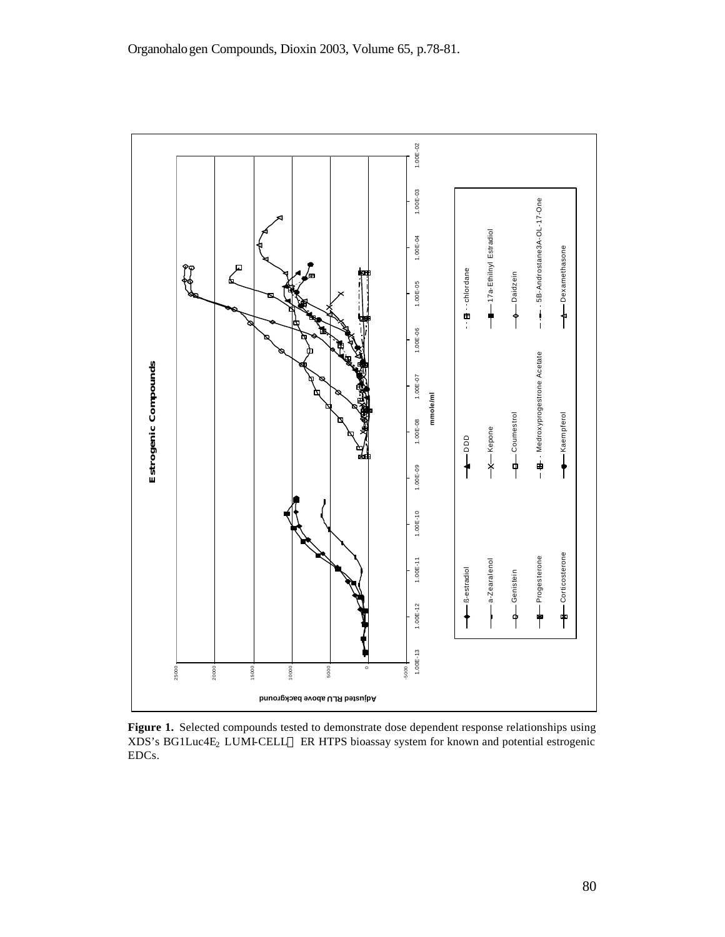

**Figure 1.** Selected compounds tested to demonstrate dose dependent response relationships using XDS's BG1Luc4E<sub>2</sub> LUMI-CELL<sup>TM</sup> ER HTPS bioassay system for known and potential estrogenic EDCs.